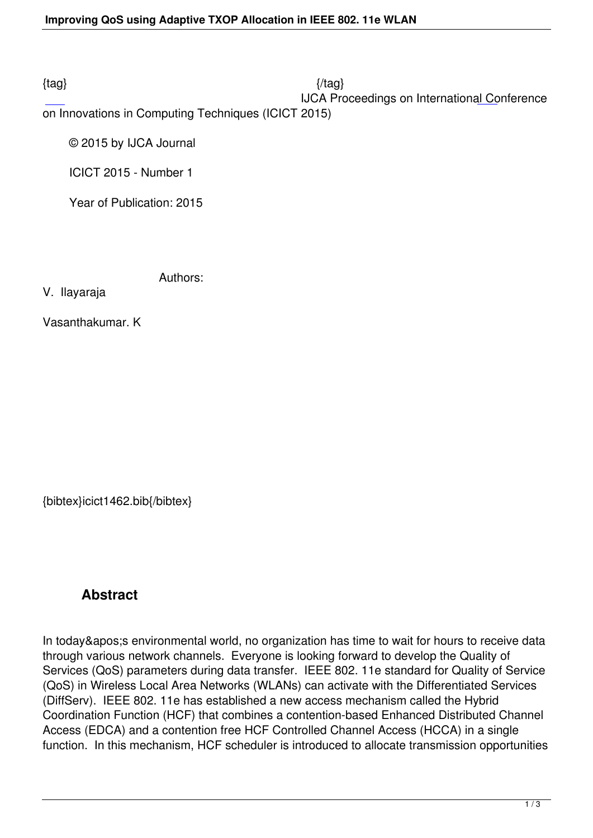$\{tag\}$ 

IJCA Proceedings on International Conference

on Innovations in Computing Techniques (ICICT 2015)

© 2015 by IJCA Journal

ICICT 2015 - Number 1

Year of Publication: 2015

Authors:

V. Ilayaraja

Vasanthakumar. K

{bibtex}icict1462.bib{/bibtex}

# **Abstract**

In today' senvironmental world, no organization has time to wait for hours to receive data through various network channels. Everyone is looking forward to develop the Quality of Services (QoS) parameters during data transfer. IEEE 802. 11e standard for Quality of Service (QoS) in Wireless Local Area Networks (WLANs) can activate with the Differentiated Services (DiffServ). IEEE 802. 11e has established a new access mechanism called the Hybrid Coordination Function (HCF) that combines a contention-based Enhanced Distributed Channel Access (EDCA) and a contention free HCF Controlled Channel Access (HCCA) in a single function. In this mechanism, HCF scheduler is introduced to allocate transmission opportunities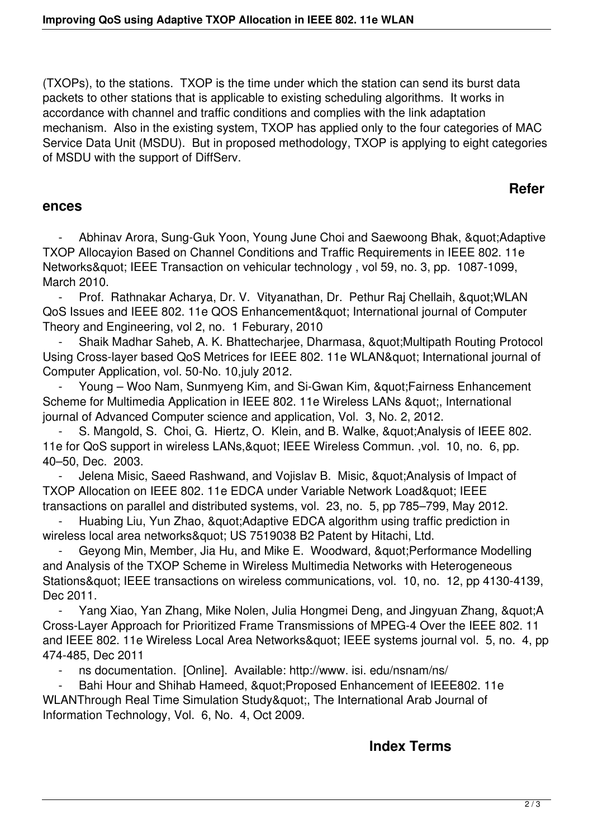(TXOPs), to the stations. TXOP is the time under which the station can send its burst data packets to other stations that is applicable to existing scheduling algorithms. It works in accordance with channel and traffic conditions and complies with the link adaptation mechanism. Also in the existing system, TXOP has applied only to the four categories of MAC Service Data Unit (MSDU). But in proposed methodology, TXOP is applying to eight categories of MSDU with the support of DiffServ.

### **Refer**

#### **ences**

Abhinav Arora, Sung-Guk Yoon, Young June Choi and Saewoong Bhak, " Adaptive TXOP Allocayion Based on Channel Conditions and Traffic Requirements in IEEE 802. 11e Networks" IEEE Transaction on vehicular technology, vol 59, no. 3, pp. 1087-1099, March 2010.

Prof. Rathnakar Acharya, Dr. V. Vityanathan, Dr. Pethur Raj Chellaih, & quot; WLAN QoS Issues and IEEE 802. 11e QOS Enhancement" International journal of Computer Theory and Engineering, vol 2, no. 1 Feburary, 2010

Shaik Madhar Saheb, A. K. Bhattecharjee, Dharmasa, "Multipath Routing Protocol Using Cross-layer based QoS Metrices for IEEE 802. 11e WLAN& quot; International journal of Computer Application, vol. 50-No. 10,july 2012.

Young – Woo Nam, Sunmyeng Kim, and Si-Gwan Kim, " Fairness Enhancement Scheme for Multimedia Application in IEEE 802. 11e Wireless LANs ", International journal of Advanced Computer science and application, Vol. 3, No. 2, 2012.

S. Mangold, S. Choi, G. Hiertz, O. Klein, and B. Walke, & quot: Analysis of IEEE 802. 11e for QoS support in wireless LANs, & quot; IEEE Wireless Commun. , vol. 10, no. 6, pp. 40–50, Dec. 2003.

Jelena Misic, Saeed Rashwand, and Vojislav B. Misic, " Analysis of Impact of TXOP Allocation on IEEE 802. 11e EDCA under Variable Network Load" IEEE transactions on parallel and distributed systems, vol. 23, no. 5, pp 785–799, May 2012.

Huabing Liu, Yun Zhao, " Adaptive EDCA algorithm using traffic prediction in wireless local area networks" US 7519038 B2 Patent by Hitachi, Ltd.

Geyong Min, Member, Jia Hu, and Mike E. Woodward, &quot: Performance Modelling and Analysis of the TXOP Scheme in Wireless Multimedia Networks with Heterogeneous Stations" IEEE transactions on wireless communications, vol. 10, no. 12, pp 4130-4139, Dec 2011.

Yang Xiao, Yan Zhang, Mike Nolen, Julia Hongmei Deng, and Jingyuan Zhang, "A Cross-Layer Approach for Prioritized Frame Transmissions of MPEG-4 Over the IEEE 802. 11 and IEEE 802. 11e Wireless Local Area Networks" IEEE systems journal vol. 5, no. 4, pp 474-485, Dec 2011

ns documentation. [Online]. Available: http://www. isi. edu/nsnam/ns/

Bahi Hour and Shihab Hameed, " Proposed Enhancement of IEEE802. 11e WLANThrough Real Time Simulation Study", The International Arab Journal of Information Technology, Vol. 6, No. 4, Oct 2009.

### **Index Terms**